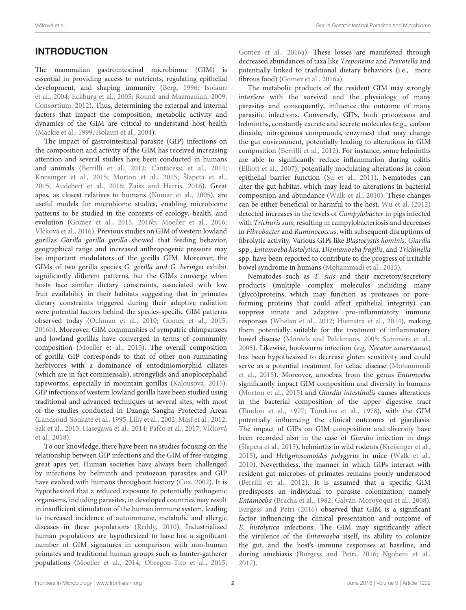# INTRODUCTION

The mammalian gastrointestinal microbiome (GIM) is essential in providing access to nutrients, regulating epithelial development, and shaping immunity [\(Berg, 1996;](#page-9-0) Isolauri et al., [2004;](#page-10-0) [Eckburg et al., 2005;](#page-9-1) [Round and Mazmanian, 2009;](#page-11-0) [Consortium, 2012\)](#page-9-2). Thus, determining the external and internal factors that impact the composition, metabolic activity and dynamics of the GIM are critical to understand host health [\(Mackie et al., 1999;](#page-10-1) [Isolauri et al., 2004\)](#page-10-0).

The impact of gastrointestinal parasite (GIP) infections on the composition and activity of the GIM has received increasing attention and several studies have been conducted in humans and animals [\(Berrilli et al., 2012;](#page-9-3) [Cantacessi et al., 2014;](#page-9-4) [Kreisinger et al., 2015;](#page-10-2) [Morton et al., 2015;](#page-10-3) [Šlapeta et al.,](#page-11-1) [2015;](#page-11-1) [Audebert et al., 2016;](#page-9-5) [Zaiss and Harris, 2016\)](#page-11-2). Great apes, as closest relatives to humans [\(Kumar et al., 2005\)](#page-10-4), are useful models for microbiome studies, enabling microbiome patterns to be studied in the contexts of ecology, health, and evolution [\(Gomez et al., 2015,](#page-10-5) [2016b;](#page-10-6) [Moeller et al., 2016;](#page-10-7) Vlčková et al., 2016). Previous studies on GIM of western lowland gorillas Gorilla gorilla gorilla showed that feeding behavior, geographical range and increased anthropogenic pressure may be important modulators of the gorilla GIM. Moreover, the GIMs of two gorilla species G. gorilla and G. beringei exhibit significantly different patterns, but the GIMs converge when hosts face similar dietary constraints, associated with low fruit availability in their habitats suggesting that in primates dietary constraints triggered during their adaptive radiation were potential factors behind the species-specific GIM patterns observed today [\(Ochman et al., 2010;](#page-10-8) [Gomez et al., 2015,](#page-10-5) [2016b\)](#page-10-6). Moreover, GIM communities of sympatric chimpanzees and lowland gorillas have converged in terms of community composition [\(Moeller et al., 2015\)](#page-10-9). The overall composition of gorilla GIP corresponds to that of other non-ruminating herbivores with a dominance of entodiniomorphid ciliates (which are in fact commensals), strongylids and anoplocephalid tapeworms, especially in mountain gorillas [\(Kalousová, 2015\)](#page-10-10). GIP infections of western lowland gorilla have been studied using traditional and advanced techniques at several sites, with most of the studies conducted in Dzanga Sangha Protected Areas [\(Landsoud-Soukate et al., 1995;](#page-10-11) [Lilly et al., 2002;](#page-10-12) [Masi et al., 2012;](#page-10-13) [Sak et al., 2013;](#page-11-4) [Hasegawa et al., 2014;](#page-10-14) Pafčo et al., 2017; Vlčková et al., [2018\)](#page-11-5).

To our knowledge, there have been no studies focusing on the relationship between GIP infections and the GIM of free-ranging great apes yet. Human societies have always been challenged by infections by helminth and protozoan parasites and GIP have evolved with humans throughout history [\(Cox, 2002\)](#page-9-6). It is hypothesized that a reduced exposure to potentially pathogenic organisms, including parasites, in developed countries may result in insufficient stimulation of the human immune system, leading to increased incidence of autoimmune, metabolic and allergic diseases in these populations [\(Reddy, 2010\)](#page-11-6). Industrialized human populations are hypothesized to have lost a significant number of GIM signatures in comparison with non-human primates and traditional human groups such as hunter-gatherer populations [\(Moeller et al., 2014;](#page-10-16) [Obregon-Tito et al., 2015;](#page-10-17) [Gomez et al., 2016a\)](#page-10-18). These losses are manifested through decreased abundances of taxa like Treponema and Prevotella and potentially linked to traditional dietary behaviors (i.e., more fibrous food) [\(Gomez et al., 2016a\)](#page-10-18).

The metabolic products of the resident GIM may strongly interfere with the survival and the physiology of many parasites and consequently, influence the outcome of many parasitic infections. Conversely, GIPs, both protozoans and helminths, constantly excrete and secrete molecules (e.g., carbon dioxide, nitrogenous compounds, enzymes) that may change the gut environment, potentially leading to alterations in GIM composition [\(Berrilli et al., 2012\)](#page-9-3). For instance, some helminths are able to significantly reduce inflammation during colitis [\(Elliott et al., 2007\)](#page-10-19), potentially modulating alterations in colon epithelial barrier function [\(Su et al., 2011\)](#page-11-7). Nematodes can alter the gut habitat, which may lead to alterations in bacterial composition and abundance [\(Walk et al., 2010\)](#page-11-8). These changes can be either beneficial or harmful to the host. [Wu et al. \(2012\)](#page-11-9) detected increases in the levels of Campylobacter in pigs infected with Trichuris suis, resulting in campylobacteriosis and decreases in Fibrobacter and Ruminococcus, with subsequent disruptions of fibrolytic activity. Various GIPs like Blastocystis hominis, Giardia spp., Entamoeba histolytica, Dientamoeba fragilis, and Trichinella spp. have been reported to contribute to the progress of irritable bowel syndrome in humans [\(Mohammadi et al., 2015\)](#page-10-20).

Nematodes such as T. suis and their excretory/secretory products (multiple complex molecules including many (glyco)proteins, which may function as proteases or poreforming proteins that could affect epithelial integrity) can suppress innate and adaptive pro-inflammatory immune responses [\(Whelan et al., 2012;](#page-11-10) [Hiemstra et al., 2014\)](#page-10-21), making them potentially suitable for the treatment of inflammatory bowel disease [\(Moreels and Pelckmans, 2005;](#page-10-22) [Summers et al.,](#page-11-11) [2005\)](#page-11-11). Likewise, hookworm infection (e.g. Necator americanus) has been hypothesized to decrease gluten sensitivity and could serve as a potential treatment for celiac disease (Mohammadi et al., [2015\)](#page-10-20). Moreover, amoebas from the genus Entamoeba significantly impact GIM composition and diversity in humans [\(Morton et al., 2015\)](#page-10-3) and Giardia intestinalis causes alterations in the bacterial composition of the upper digestive tract [\(Tandon et al., 1977;](#page-11-12) [Tomkins et al., 1978\)](#page-11-13), with the GIM potentially influencing the clinical outcomes of giardiasis. The impact of GIPs on GIM composition and diversity have been recorded also in the case of Giardia infection in dogs [\(Šlapeta et al., 2015\)](#page-11-1), helminths in wild rodents [\(Kreisinger et al.,](#page-10-2) [2015\)](#page-10-2), and Heligmosomoides polygyrus in mice [\(Walk et al.,](#page-11-8) [2010\)](#page-11-8). Nevertheless, the manner in which GIPs interact with resident gut microbes of primates remains poorly understood [\(Berrilli et al., 2012\)](#page-9-3). It is assumed that a specific GIM predisposes an individual to parasite colonization, namely Entamoeba [\(Bracha et al., 1982;](#page-9-7) [Galván-Moroyoqui et al., 2008\)](#page-10-23). [Burgess and Petri \(2016\)](#page-9-8) observed that GIM is a significant factor influencing the clinical presentation and outcome of E. histolytica infections. The GIM may significantly affect the virulence of the Entamoeba itself, its ability to colonize the gut, and the host's immune responses at baseline, and during amebiasis [\(Burgess and Petri, 2016;](#page-9-8) [Ngobeni et al.,](#page-10-24) [2017\)](#page-10-24).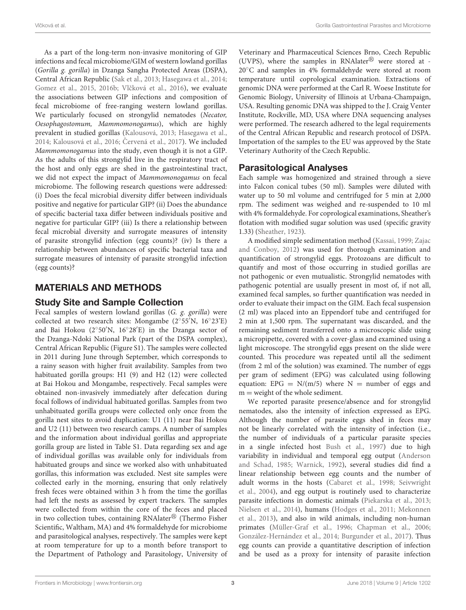As a part of the long-term non-invasive monitoring of GIP infections and fecal microbiome/GIM of western lowland gorillas (Gorilla g. gorilla) in Dzanga Sangha Protected Areas (DSPA), Central African Republic [\(Sak et al., 2013;](#page-11-4) [Hasegawa et al., 2014;](#page-10-14) [Gomez et al., 2015,](#page-10-5) [2016b;](#page-10-6) Vlčková et al., 2016), we evaluate the associations between GIP infections and composition of fecal microbiome of free-ranging western lowland gorillas. We particularly focused on strongylid nematodes (Necator, Oesophagostomum, Mammomonogamus), which are highly prevalent in studied gorillas [\(Kalousová, 2013;](#page-10-25) [Hasegawa et al.,](#page-10-14) [2014;](#page-10-14) [Kalousová et al., 2016;](#page-10-26) Červená et al., 2017). We included Mammomonogamus into the study, even though it is not a GIP. As the adults of this strongylid live in the respiratory tract of the host and only eggs are shed in the gastrointestinal tract, we did not expect the impact of Mammomonogamus on fecal microbiome. The following research questions were addressed: (i) Does the fecal microbial diversity differ between individuals positive and negative for particular GIP? (ii) Does the abundance of specific bacterial taxa differ between individuals positive and negative for particular GIP? (iii) Is there a relationship between fecal microbial diversity and surrogate measures of intensity of parasite strongylid infection (egg counts)? (iv) Is there a relationship between abundances of specific bacterial taxa and surrogate measures of intensity of parasite strongylid infection (egg counts)?

# MATERIALS AND METHODS

### Study Site and Sample Collection

Fecal samples of western lowland gorillas (G. g. gorilla) were collected at two research sites: Mongambe (2◦ 55′N, 16◦ 23'E) and Bai Hokou (2◦ 50′N, 16◦ 28′E) in the Dzanga sector of the Dzanga-Ndoki National Park (part of the DSPA complex), Central African Republic (Figure S1). The samples were collected in 2011 during June through September, which corresponds to a rainy season with higher fruit availability. Samples from two habituated gorilla groups: H1 (9) and H2 (12) were collected at Bai Hokou and Mongambe, respectively. Fecal samples were obtained non-invasively immediately after defecation during focal follows of individual habituated gorillas. Samples from two unhabituated gorilla groups were collected only once from the gorilla nest sites to avoid duplication: U1 (11) near Bai Hokou and U2 (11) between two research camps. A number of samples and the information about individual gorillas and appropriate gorilla group are listed in Table S1. Data regarding sex and age of individual gorillas was available only for individuals from habituated groups and since we worked also with unhabituated gorillas, this information was excluded. Nest site samples were collected early in the morning, ensuring that only relatively fresh feces were obtained within 3 h from the time the gorillas had left the nests as assessed by expert trackers. The samples were collected from within the core of the feces and placed in two collection tubes, containing RNAlater $^{\circledR}$  (Thermo Fisher Scientific, Waltham, MA) and 4% formaldehyde for microbiome and parasitological analyses, respectively. The samples were kept at room temperature for up to a month before transport to the Department of Pathology and Parasitology, University of Veterinary and Pharmaceutical Sciences Brno, Czech Republic (UVPS), where the samples in RNAlater $\mathcal{B}$  were stored at -20◦C and samples in 4% formaldehyde were stored at room temperature until coprological examination. Extractions of genomic DNA were performed at the Carl R. Woese Institute for Genomic Biology, University of Illinois at Urbana-Champaign, USA. Resulting genomic DNA was shipped to the J. Craig Venter Institute, Rockville, MD, USA where DNA sequencing analyses were performed. The research adhered to the legal requirements of the Central African Republic and research protocol of DSPA. Importation of the samples to the EU was approved by the State Veterinary Authority of the Czech Republic.

# Parasitological Analyses

Each sample was homogenized and strained through a sieve into Falcon conical tubes (50 ml). Samples were diluted with water up to 50 ml volume and centrifuged for 5 min at 2,000 rpm. The sediment was weighed and re-suspended to 10 ml with 4% formaldehyde. For coprological examinations, Sheather's flotation with modified sugar solution was used (specific gravity 1.33) [\(Sheather, 1923\)](#page-11-14).

A modified simple sedimentation method [\(Kassai, 1999;](#page-10-27) Zajac and Conboy, [2012\)](#page-11-15) was used for thorough examination and quantification of strongylid eggs. Protozoans are difficult to quantify and most of those occurring in studied gorillas are not pathogenic or even mutualistic. Strongylid nematodes with pathogenic potential are usually present in most of, if not all, examined fecal samples, so further quantification was needed in order to evaluate their impact on the GIM. Each fecal suspension (2 ml) was placed into an Eppendorf tube and centrifuged for 2 min at 1,500 rpm. The supernatant was discarded, and the remaining sediment transferred onto a microscopic slide using a micropipette, covered with a cover-glass and examined using a light microscope. The strongylid eggs present on the slide were counted. This procedure was repeated until all the sediment (from 2 ml of the solution) was examined. The number of eggs per gram of sediment (EPG) was calculated using following equation: EPG =  $N/(m/5)$  where N = number of eggs and m = weight of the whole sediment.

We reported parasite presence/absence and for strongylid nematodes, also the intensity of infection expressed as EPG. Although the number of parasite eggs shed in feces may not be linearly correlated with the intensity of infection (i.e., the number of individuals of a particular parasite species in a single infected host [Bush et al., 1997\)](#page-9-10) due to high variability in individual and temporal egg output (Anderson and Schad, [1985;](#page-9-11) [Warnick, 1992\)](#page-11-16), several studies did find a linear relationship between egg counts and the number of adult worms in the hosts [\(Cabaret et al., 1998;](#page-9-12) Seivwright et al., [2004\)](#page-11-17), and egg output is routinely used to characterize parasite infections in domestic animals [\(Piekarska et al., 2013;](#page-11-18) [Nielsen et al., 2014\)](#page-10-28), humans [\(Hodges et al., 2011;](#page-10-29) Mekonnen et al., [2013\)](#page-10-30), and also in wild animals, including non-human primates [\(Müller-Graf et al., 1996;](#page-10-31) [Chapman et al., 2006;](#page-9-13) [González-Hernández et al., 2014;](#page-10-32) [Burgunder et al., 2017\)](#page-9-14). Thus egg counts can provide a quantitative description of infection and be used as a proxy for intensity of parasite infection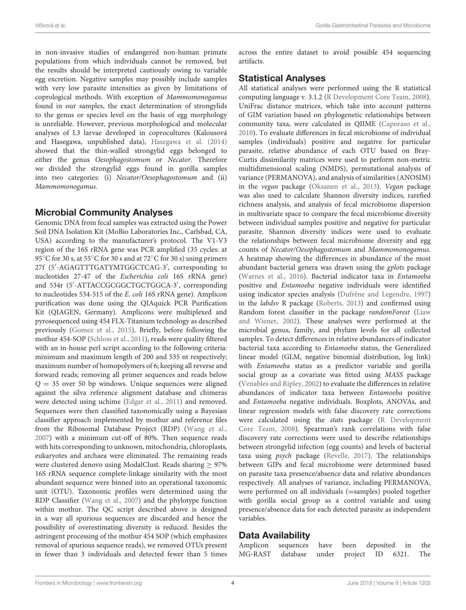in non-invasive studies of endangered non-human primate populations from which individuals cannot be removed, but the results should be interpreted cautiously owing to variable egg excretion. Negative samples may possibly include samples with very low parasite intensities as given by limitations of coprological methods. With exception of Mammomonogamus found in our samples, the exact determination of strongylids to the genus or species level on the basis of egg morphology is unreliable. However, previous morphological and molecular analyses of L3 larvae developed in coprocultures (Kalousová and Hasegawa, unpublished data), [Hasegawa et al. \(2014\)](#page-10-14) showed that the thin-walled strongylid eggs belonged to either the genus Oesophagostomum or Necator. Therefore we divided the strongylid eggs found in gorilla samples into two categories: (i) Necator/Oesophagostomum and (ii) Mammomonogamus.

# Microbial Community Analyses

Genomic DNA from fecal samples was extracted using the Power Soil DNA Isolation Kit (MoBio Laboratories Inc., Carlsbad, CA, USA) according to the manufacturer's protocol. The V1-V3 region of the 16S rRNA gene was PCR amplified (35 cycles: at 95°C for 30 s, at 55°C for 30 s and at 72°C for 30 s) using primers 27f (5′ -AGAGTTTGATYMTGGCTCAG-3′ , corresponding to nucleotides 27-47 of the Escherichia coli 16S rRNA gene) and 534r (5′ -ATTACCGCGGCTGCTGGCA-3′ , corresponding to nucleotides 534-515 of the E. coli 16S rRNA gene). Amplicon purification was done using the QIAquick PCR Purification Kit (QIAGEN, Germany). Amplicons were multiplexed and pyrosequenced using 454 FLX-Titanium technology as described previously [\(Gomez et al., 2015\)](#page-10-5). Briefly, before following the mothur 454-SOP [\(Schloss et al., 2011\)](#page-11-19), reads were quality filtered with an in-house perl script according to the following criteria: minimum and maximum length of 200 and 535 nt respectively; maximum number of homopolymers of 6; keeping all reverse and forward reads; removing all primer sequences and reads below  $Q = 35$  over 50 bp windows. Unique sequences were aligned against the silva reference alignment database and chimeras were detected using uchime [\(Edgar et al., 2011\)](#page-9-15) and removed. Sequences were then classified taxonomically using a Bayesian classifier approach implemented by mothur and reference files from the Ribosomal Database Project (RDP) [\(Wang et al.,](#page-11-20) [2007\)](#page-11-20) with a minimum cut-off of 80%. Then sequence reads with hits corresponding to unknown, mitochondria, chloroplasts, eukaryotes and archaea were eliminated. The remaining reads were clustered denovo using ModalClust. Reads sharing  $\geq$  97% 16S rRNA sequence complete-linkage similarity with the most abundant sequence were binned into an operational taxonomic unit (OTU). Taxonomic profiles were determined using the RDP Classifier [\(Wang et al., 2007\)](#page-11-20) and the phylotype function within mothur. The QC script described above is designed in a way all spurious sequences are discarded and hence the possibility of overestimating diversity is reduced. Besides the astringent processing of the mothur 454 SOP (which emphasizes removal of spurious sequence reads), we removed OTUs present in fewer than 3 individuals and detected fewer than 5 times across the entire dataset to avoid possible 454 sequencing artifacts.

# Statistical Analyses

All statistical analyses were performed using the R statistical computing language v. 3.1.2 [\(R Development Core Team, 2008\)](#page-11-21). UniFrac distance matrices, which take into account patterns of GIM variation based on phylogenetic relationships between community taxa, were calculated in QIIME [\(Caporaso et al.,](#page-9-16) [2010\)](#page-9-16). To evaluate differences in fecal microbiome of individual samples (individuals) positive and negative for particular parasite, relative abundance of each OTU based on Bray-Curtis dissimilarity matrices were used to perform non-metric multidimensional scaling (NMDS), permutational analysis of variance (PERMANOVA), and analysis of similarities (ANOSIM) in the vegan package [\(Oksanen et al., 2013\)](#page-10-33). Vegan package was also used to calculate Shannon diversity indices, rarefied richness analysis, and analysis of fecal microbiome dispersion in multivariate space to compare the fecal microbiome diversity between individual samples positive and negative for particular parasite. Shannon diversity indices were used to evaluate the relationships between fecal microbiome diversity and egg counts of Necator/Oesophagostomum and Mammomonogamus. A heatmap showing the differences in abundance of the most abundant bacterial genera was drawn using the gplots package [\(Warnes et al., 2016\)](#page-11-22). Bacterial indicator taxa in Entamoeba positive and Entamoeba negative individuals were identified using indicator species analysis [\(Dufrêne and Legendre, 1997\)](#page-9-17) in the labdsv R package [\(Roberts, 2013\)](#page-11-23) and confirmed using Random forest classifier in the package randomForest (Liaw and Wiener, [2002\)](#page-10-34). These analyses were performed at the microbial genus, family, and phylum levels for all collected samples. To detect differences in relative abundances of indicator bacterial taxa according to Entamoeba status, the Generalized linear model (GLM, negative binomial distribution, log link) with Entamoeba status as a predictor variable and gorilla social group as a covariate was fitted using MASS package [\(Venables and Ripley, 2002\)](#page-11-24) to evaluate the differences in relative abundances of indicator taxa between Entamoeba positive and Entamoeba negative individuals. Boxplots, ANOVAs, and linear regression models with false discovery rate corrections were calculated using the stats package (R Development Core Team, [2008\)](#page-11-21). Spearman's rank correlations with false discovery rate corrections were used to describe relationships between strongylid infection (egg counts) and levels of bacterial taxa using psych package [\(Revelle, 2017\)](#page-11-25). The relationships between GIPs and fecal microbiome were determined based on parasite taxa presence/absence data and relative abundances respectively. All analyses of variance, including PERMANOVA, were performed on all individuals (=samples) pooled together with gorilla social group as a control variable and using presence/absence data for each detected parasite as independent variables.

# Data Availability

| Amplicon sequences have been deposited in the |  |  |  |
|-----------------------------------------------|--|--|--|
| MG-RAST database under project ID 6321. The   |  |  |  |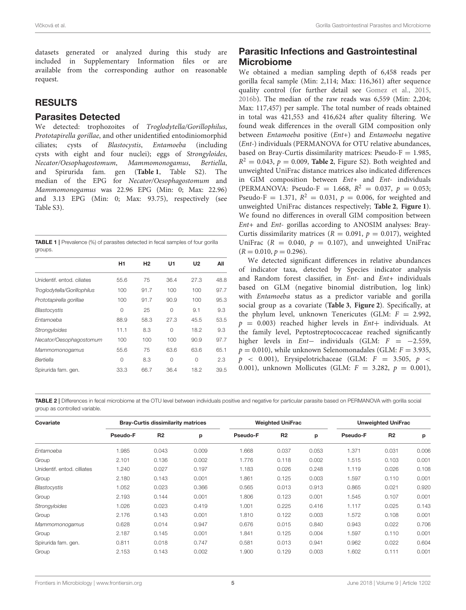datasets generated or analyzed during this study are included in Supplementary Information files or are available from the corresponding author on reasonable request.

### RESULTS

#### Parasites Detected

We detected: trophozoites of Troglodytella/Gorillophilus, Prototapirella gorillae, and other unidentified entodiniomorphid ciliates; cysts of Blastocystis, Entamoeba (including cysts with eight and four nuclei); eggs of Strongyloides, Necator/Oesophagostomum, Mammomonogamus, Bertiella, and Spirurida fam. gen (**[Table 1](#page-4-0)**, Table S2). The median of the EPG for Necator/Oesophagostomum and Mammomonogamus was 22.96 EPG (Min: 0; Max: 22.96) and 3.13 EPG (Min: 0; Max: 93.75), respectively (see Table S3).

<span id="page-4-0"></span>

| <b>TABLE 1</b>   Prevalence (%) of parasites detected in fecal samples of four gorilla |  |
|----------------------------------------------------------------------------------------|--|
| groups.                                                                                |  |

|                             | H <sub>1</sub> | H <sub>2</sub> | U1       | U <sub>2</sub> | All  |
|-----------------------------|----------------|----------------|----------|----------------|------|
| Unidentif, entod, ciliates  | 55.6           | 75             | 36.4     | 27.3           | 48.8 |
| Troglodytella/Gorillophilus | 100            | 91.7           | 100      | 100            | 97.7 |
| Prototapirella gorillae     | 100            | 91.7           | 90.9     | 100            | 95.3 |
| Blastocystis                | 0              | 25             | $\Omega$ | 9.1            | 9.3  |
| Entamoeba                   | 88.9           | 58.3           | 27.3     | 45.5           | 53.5 |
| <b>Strongyloides</b>        | 11.1           | 8.3            | $\Omega$ | 18.2           | 9.3  |
| Necator/Oesophagostomum     | 100            | 100            | 100      | 90.9           | 97.7 |
| Mammomonogamus              | 55.6           | 75             | 63.6     | 63.6           | 65.1 |
| Bertiella                   | 0              | 8.3            | $\Omega$ | $\Omega$       | 2.3  |
| Spirurida fam. gen.         | 33.3           | 66.7           | 36.4     | 18.2           | 39.5 |

# Parasitic Infections and Gastrointestinal Microbiome

We obtained a median sampling depth of 6,458 reads per gorilla fecal sample (Min: 2,114; Max: 116,361) after sequence quality control (for further detail see [Gomez et al., 2015,](#page-10-5) [2016b\)](#page-10-6). The median of the raw reads was 6,559 (Min: 2,204; Max: 117,457) per sample. The total number of reads obtained in total was 421,553 and 416,624 after quality filtering. We found weak differences in the overall GIM composition only between Entamoeba positive (Ent+) and Entamoeba negative (Ent-) individuals (PERMANOVA for OTU relative abundances, based on Bray-Curtis dissimilarity matrices: Pseudo- $F = 1.985$ ,  $R^2 = 0.043$ ,  $p = 0.009$ , **[Table 2](#page-4-1)**, Figure S2). Both weighted and unweighted UniFrac distance matrices also indicated differences in GIM composition between Ent+ and Ent- individuals (PERMANOVA: Pseudo-F = 1.668,  $R^2 = 0.037$ ,  $p = 0.053$ ; Pseudo-F = 1.371,  $R^2 = 0.031$ ,  $p = 0.006$ , for weighted and unweighted UniFrac distances respectively; **[Table 2](#page-4-1)**, **[Figure 1](#page-5-0)**). We found no differences in overall GIM composition between Ent+ and Ent- gorillas according to ANOSIM analyses: Bray-Curtis dissimilarity matrices ( $R = 0.091$ ,  $p = 0.017$ ), weighted UniFrac ( $R = 0.040$ ,  $p = 0.107$ ), and unweighted UniFrac  $(R = 0.010, p = 0.296).$ 

We detected significant differences in relative abundances of indicator taxa, detected by Species indicator analysis and Random forest classifier, in Ent- and Ent+ individuals based on GLM (negative binomial distribution, log link) with Entamoeba status as a predictor variable and gorilla social group as a covariate (**[Table 3](#page-6-0)**, **[Figure 2](#page-7-0)**). Specifically, at the phylum level, unknown Tenericutes (GLM:  $F = 2.992$ ,  $p = 0.003$ ) reached higher levels in  $Ent+$  individuals. At the family level, Peptostreptococcaceae reached significantly higher levels in  $Ent-$  individuals (GLM:  $F = -2.559$ ,  $p = 0.010$ ), while unknown Selenomonadales (GLM:  $F = 3.935$ ,  $p \le 0.001$ ), Erysipelotrichaceae (GLM:  $F = 3.505, p \le$ 0.001), unknown Mollicutes (GLM:  $F = 3.282$ ,  $p = 0.001$ ),

<span id="page-4-1"></span>TABLE 2 | Differences in fecal microbiome at the OTU level between individuals positive and negative for particular parasite based on PERMANOVA with gorilla social group as controlled variable.

| Covariate                   | <b>Bray-Curtis dissimilarity matrices</b> |                |       | <b>Weighted UniFrac</b> |                |       | <b>Unweighted UniFrac</b> |                |       |
|-----------------------------|-------------------------------------------|----------------|-------|-------------------------|----------------|-------|---------------------------|----------------|-------|
|                             | Pseudo-F                                  | R <sub>2</sub> | p     | Pseudo-F                | R <sub>2</sub> | p     | Pseudo-F                  | R <sub>2</sub> | p     |
| Entamoeba                   | 1.985                                     | 0.043          | 0.009 | 1.668                   | 0.037          | 0.053 | 1.371                     | 0.031          | 0.006 |
| Group                       | 2.101                                     | 0.136          | 0.002 | 1.776                   | 0.118          | 0.002 | 1.515                     | 0.103          | 0.001 |
| Unidentif, entod, cilliates | 1.240                                     | 0.027          | 0.197 | 1.183                   | 0.026          | 0.248 | 1.119                     | 0.026          | 0.108 |
| Group                       | 2.180                                     | 0.143          | 0.001 | 1.861                   | 0.125          | 0.003 | 1.597                     | 0.110          | 0.001 |
| Blastocystis                | 1.052                                     | 0.023          | 0.366 | 0.565                   | 0.013          | 0.913 | 0.865                     | 0.021          | 0.920 |
| Group                       | 2.193                                     | 0.144          | 0.001 | 1.806                   | 0.123          | 0.001 | 1.545                     | 0.107          | 0.001 |
| Strongyloides               | 1.026                                     | 0.023          | 0.419 | 1.001                   | 0.225          | 0.416 | 1.117                     | 0.025          | 0.143 |
| Group                       | 2.176                                     | 0.143          | 0.001 | 1.810                   | 0.122          | 0.003 | 1.572                     | 0.108          | 0.001 |
| Mammomonogamus              | 0.628                                     | 0.014          | 0.947 | 0.676                   | 0.015          | 0.840 | 0.943                     | 0.022          | 0.706 |
| Group                       | 2.187                                     | 0.145          | 0.001 | 1.841                   | 0.125          | 0.004 | 1.597                     | 0.110          | 0.001 |
| Spirurida fam. gen.         | 0.811                                     | 0.018          | 0.747 | 0.581                   | 0.013          | 0.941 | 0.962                     | 0.022          | 0.604 |
| Group                       | 2.153                                     | 0.143          | 0.002 | 1.900                   | 0.129          | 0.003 | 1.602                     | 0.111          | 0.001 |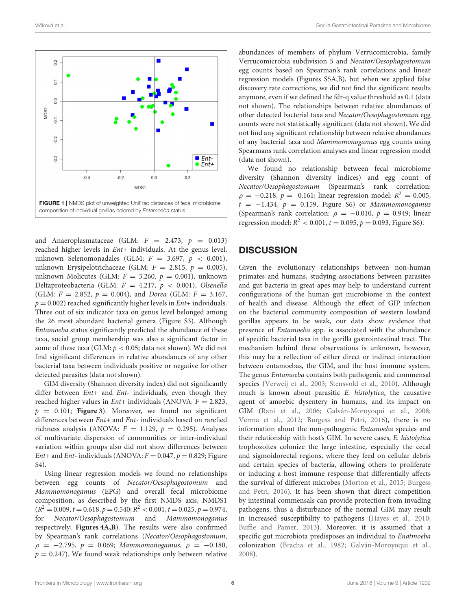

<span id="page-5-0"></span>and Anaeroplasmataceae (GLM:  $F = 2.473$ ,  $p = 0.013$ ) reached higher levels in Ent+ individuals. At the genus level, unknown Selenomonadales (GLM:  $F = 3.697$ ,  $p < 0.001$ ), unknown Erysipelotrichaceae (GLM:  $F = 2.815$ ,  $p = 0.005$ ), unknown Molicutes (GLM:  $F = 3.260$ ,  $p = 0.001$ ), unknown Deltaproteobacteria (GLM:  $F = 4.217$ ,  $p < 0.001$ ), Olsenella (GLM:  $F = 2.852$ ,  $p = 0.004$ ), and *Dorea* (GLM:  $F = 3.167$ ,  $p = 0.002$ ) reached significantly higher levels in  $Ent+$  individuals. Three out of six indicator taxa on genus level belonged among the 26 most abundant bacterial genera (Figure S3). Although Entamoeba status significantly predicted the abundance of these taxa, social group membership was also a significant factor in some of these taxa (GLM:  $p < 0.05$ ; data not shown). We did not find significant differences in relative abundances of any other bacterial taxa between individuals positive or negative for other detected parasites (data not shown).

GIM diversity (Shannon diversity index) did not significantly differ between Ent+ and Ent- individuals, even though they reached higher values in  $Ent+$  individuals (ANOVA:  $F = 2.823$ ,  $p = 0.101$ ; **[Figure 3](#page-8-0)**). Moreover, we found no significant differences between Ent+ and Ent- individuals based on rarefied richness analysis (ANOVA:  $F = 1.129$ ,  $p = 0.295$ ). Analyses of multivariate dispersion of communities or inter-individual variation within groups also did not show differences between Ent+ and Ent- individuals (ANOVA:  $F = 0.047$ ,  $p = 0.829$ ; Figure S4).

Using linear regression models we found no relationships between egg counts of Necator/Oesophagostomum and Mammomonogamus (EPG) and overall fecal microbiome composition, as described by the first NMDS axis, NMDS1  $(R<sup>2</sup> = 0.009, t = 0.618, p = 0.540; R<sup>2</sup> < 0.001, t = 0.025, p = 0.974,$ for Necator/Oesophagostomum and Mammomonogamus respectively; **[Figures 4A,B](#page-8-1)**). The results were also confirmed by Spearman's rank correlations (Necator/Oesophagostomum,  $ρ = -2.795, p = 0.069; Mammomongamus, ρ = -0.180,$  $p = 0.247$ ). We found weak relationships only between relative abundances of members of phylum Verrucomicrobia, family Verrucomicrobia subdivision 5 and Necator/Oesophagostomum egg counts based on Spearman's rank correlations and linear regression models (Figures S5A,B), but when we applied false discovery rate corrections, we did not find the significant results anymore, even if we defined the fdr-q value threshold as 0.1 (data not shown). The relationships between relative abundances of other detected bacterial taxa and Necator/Oesophagostomum egg counts were not statistically significant (data not shown). We did not find any significant relationship between relative abundances of any bacterial taxa and Mammomonogamus egg counts using Spearmans rank correlation analyses and linear regression model (data not shown).

We found no relationship between fecal microbiome diversity (Shannon diversity indices) and egg count of Necator/Oesophagostomum (Spearman's rank correlation:  $\rho = -0.218$ ,  $p = 0.161$ ; linear regression model:  $R^2 = 0.005$ ,  $t = -1.434$ ,  $p = 0.159$ , Figure S6) or Mammomonogamus (Spearman's rank correlation:  $\rho = -0.010$ ,  $p = 0.949$ ; linear regression model:  $R^2 < 0.001$ ,  $t = 0.095$ ,  $p = 0.093$ , Figure S6).

### **DISCUSSION**

Given the evolutionary relationships between non-human primates and humans, studying associations between parasites and gut bacteria in great apes may help to understand current configurations of the human gut microbiome in the context of health and disease. Although the effect of GIP infection on the bacterial community composition of western lowland gorillas appears to be weak, our data show evidence that presence of Entamoeba spp. is associated with the abundance of specific bacterial taxa in the gorilla gastrointestinal tract. The mechanism behind these observations is unknown, however, this may be a reflection of either direct or indirect interaction between entamoebas, the GIM, and the host immune system. The genus Entamoeba contains both pathogenic and commensal species [\(Verweij et al., 2003;](#page-11-26) [Stensvold et al., 2010\)](#page-11-27). Although much is known about parasitic E. histolytica, the causative agent of amoebic dysentery in humans, and its impact on GIM [\(Rani et al., 2006;](#page-11-28) [Galván-Moroyoqui et al., 2008;](#page-10-23) [Verma et al., 2012;](#page-11-29) [Burgess and Petri, 2016\)](#page-9-8), there is no information about the non-pathogenic Entamoeba species and their relationship with host's GIM. In severe cases, E. histolytica trophozoites colonize the large intestine, especially the cecal and sigmoidorectal regions, where they feed on cellular debris and certain species of bacteria, allowing others to proliferate or inducing a host immune response that differentially affects the survival of different microbes [\(Morton et al., 2015;](#page-10-3) Burgess and Petri, [2016\)](#page-9-8). It has been shown that direct competition by intestinal commensals can provide protection from invading pathogens, thus a disturbance of the normal GIM may result in increased susceptibility to pathogens [\(Hayes et al., 2010;](#page-10-35) [Buffie and Pamer, 2013\)](#page-9-18). Moreover, it is assumed that a specific gut microbiota predisposes an individual to Enatmoeba colonization [\(Bracha et al., 1982;](#page-9-7) [Galván-Moroyoqui et al.,](#page-10-23) [2008\)](#page-10-23).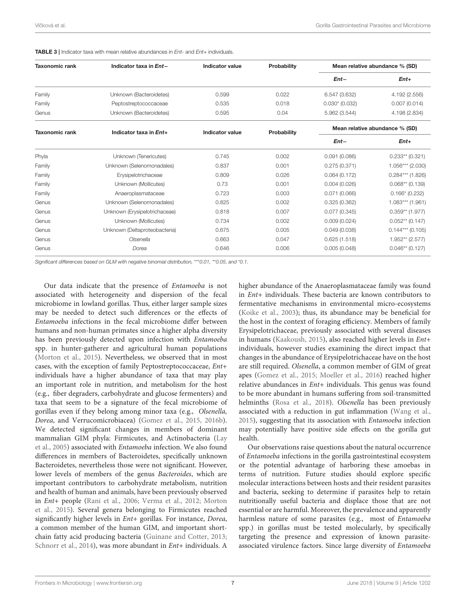| <b>Taxonomic rank</b> | Indicator taxa in Ent-        | <b>Indicator value</b> | Probability | Mean relative abundance % (SD) |                    |  |
|-----------------------|-------------------------------|------------------------|-------------|--------------------------------|--------------------|--|
|                       |                               |                        |             | $Ent-$                         | $Ent+$             |  |
| Family                | Unknown (Bacteroidetes)       | 0.599                  | 0.022       | 6.547 (3.632)                  | 4.192 (2.556)      |  |
| Family                | Peptostreptococcaceae         | 0.535                  | 0.018       | $0.030*(0.032)$                | 0.007(0.014)       |  |
| Genus                 | Unknown (Bacteroidetes)       | 0.595                  | 0.04        | 5.962 (3.544)                  | 4.198 (2.834)      |  |
| <b>Taxonomic rank</b> | Indicator taxa in Ent+        | <b>Indicator value</b> | Probability | Mean relative abundance % (SD) |                    |  |
|                       |                               |                        |             | $Ent-$                         | $Ent+$             |  |
| Phyla                 | Unknown (Tenericutes)         | 0.745                  | 0.002       | 0.091(0.086)                   | $0.233**$ (0.321)  |  |
| Family                | Unknown (Selenomonadales)     | 0.837                  | 0.001       | 0.275(0.371)                   | $1.056***$ (2.030) |  |
| Family                | Erysipelotrichaceae           | 0.809                  | 0.026       | 0.064(0.172)                   | $0.284***$ (1.826) |  |
| Family                | Unknown (Mollicutes)          | 0.73                   | 0.001       | 0.004(0.026)                   | $0.068**$ (0.139)  |  |
| Family                | Anaeroplasmataceae            | 0.723                  | 0.003       | 0.071(0.066)                   | $0.166*$ (0.232)   |  |
| Genus                 | Unknown (Selenomonadales)     | 0.825                  | 0.002       | 0.325(0.362)                   | $1.083***$ (1.961) |  |
| Genus                 | Unknown (Erysipelotrichaceae) | 0.818                  | 0.007       | 0.077(0.345)                   | $0.359**$ (1.977)  |  |
| Genus                 | Unknown (Mollicutes)          | 0.734                  | 0.002       | 0.009(0.024)                   | $0.052**$ (0.147)  |  |
| Genus                 | Unknown (Deltaproteobacteria) | 0.675                  | 0.005       | 0.049(0.038)                   | $0.144***$ (0.105) |  |
| Genus                 | Olsenella                     | 0.663                  | 0.047       | 0.625(1.518)                   | $1.952**$ (2.577)  |  |
| Genus                 | Dorea                         | 0.646                  | 0.006       | 0.005(0.048)                   | $0.046**$ (0.127)  |  |

<span id="page-6-0"></span>TABLE 3 | Indicator taxa with mean relative abundances in Ent- and Ent+ individuals.

Significant differences based on GLM with negative binomial distribution, \*\*\*0.01, \*\*0.05, and \*0.1.

Our data indicate that the presence of Entamoeba is not associated with heterogeneity and dispersion of the fecal microbiome in lowland gorillas. Thus, either larger sample sizes may be needed to detect such differences or the effects of Entamoeba infections in the fecal microbiome differ between humans and non-human primates since a higher alpha diversity has been previously detected upon infection with Entamoeba spp. in hunter-gatherer and agricultural human populations [\(Morton et al., 2015\)](#page-10-3). Nevertheless, we observed that in most cases, with the exception of family Peptostreptococcaceae, Ent+ individuals have a higher abundance of taxa that may play an important role in nutrition, and metabolism for the host (e.g., fiber degraders, carbohydrate and glucose fermenters) and taxa that seem to be a signature of the fecal microbiome of gorillas even if they belong among minor taxa (e.g., Olsenella, Dorea, and Verrucomicrobiacea) [\(Gomez et al., 2015,](#page-10-5) [2016b\)](#page-10-6). We detected significant changes in members of dominant mammalian GIM phyla: Firmicutes, and Actinobacteria (Lay et al., [2005\)](#page-10-36) associated with Entamoeba infection. We also found differences in members of Bacteroidetes, specifically unknown Bacteroidetes, nevertheless those were not significant. However, lower levels of members of the genus Bacteroides, which are important contributors to carbohydrate metabolism, nutrition and health of human and animals, have been previously observed in Ent+ people [\(Rani et al., 2006;](#page-11-28) [Verma et al., 2012;](#page-11-29) Morton et al., [2015\)](#page-10-3). Several genera belonging to Firmicutes reached significantly higher levels in Ent+ gorillas. For instance, Dorea, a common member of the human GIM, and important shortchain fatty acid producing bacteria [\(Guinane and Cotter, 2013;](#page-10-37) [Schnorr et al., 2014\)](#page-11-30), was more abundant in Ent+ individuals. A

higher abundance of the Anaeroplasmataceae family was found in Ent+ individuals. These bacteria are known contributors to fermentative mechanisms in environmental micro-ecosystems [\(Koike et al., 2003\)](#page-10-38); thus, its abundance may be beneficial for the host in the context of foraging efficiency. Members of family Erysipelotrichaceae, previously associated with several diseases in humans [\(Kaakoush, 2015\)](#page-10-39), also reached higher levels in Ent+ individuals, however studies examining the direct impact that changes in the abundance of Erysipelotrichaceae have on the host are still required. Olsenella, a common member of GIM of great apes [\(Gomez et al., 2015;](#page-10-5) [Moeller et al., 2016\)](#page-10-7) reached higher relative abundances in  $Ent+$  individuals. This genus was found to be more abundant in humans suffering from soil-transmitted helminths [\(Rosa et al., 2018\)](#page-11-31). Olsenella has been previously associated with a reduction in gut inflammation [\(Wang et al.,](#page-11-32) [2015\)](#page-11-32), suggesting that its association with Entamoeba infection may potentially have positive side effects on the gorilla gut health.

Our observations raise questions about the natural occurrence of Entamoeba infections in the gorilla gastrointestinal ecosystem or the potential advantage of harboring these amoebas in terms of nutrition. Future studies should explore specific molecular interactions between hosts and their resident parasites and bacteria, seeking to determine if parasites help to retain nutritionally useful bacteria and displace those that are not essential or are harmful. Moreover, the prevalence and apparently harmless nature of some parasites (e.g., most of Entamoeba spp.) in gorillas must be tested molecularly, by specifically targeting the presence and expression of known parasiteassociated virulence factors. Since large diversity of Entamoeba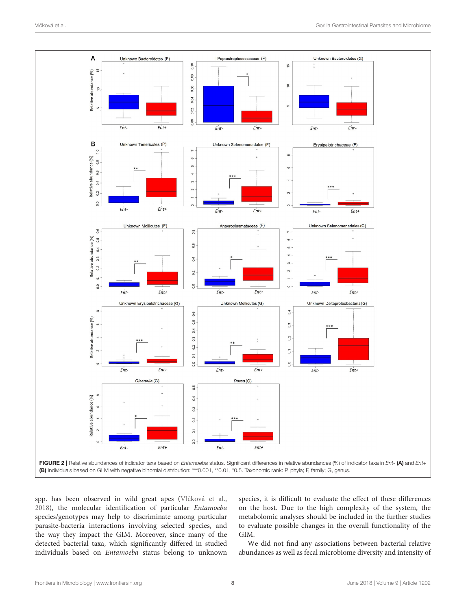

<span id="page-7-0"></span>spp. has been observed in wild great apes (Vlčková et al., [2018\)](#page-11-5), the molecular identification of particular Entamoeba species/genotypes may help to discriminate among particular parasite-bacteria interactions involving selected species, and the way they impact the GIM. Moreover, since many of the detected bacterial taxa, which significantly differed in studied individuals based on Entamoeba status belong to unknown

species, it is difficult to evaluate the effect of these differences on the host. Due to the high complexity of the system, the metabolomic analyses should be included in the further studies to evaluate possible changes in the overall functionality of the GIM.

We did not find any associations between bacterial relative abundances as well as fecal microbiome diversity and intensity of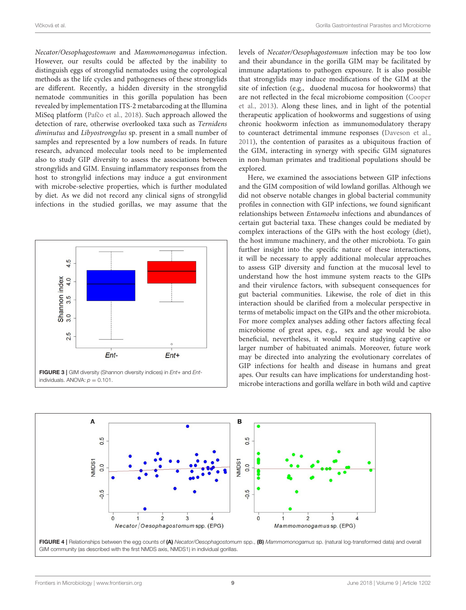Necator/Oesophagostomum and Mammomonogamus infection. However, our results could be affected by the inability to distinguish eggs of strongylid nematodes using the coprological methods as the life cycles and pathogeneses of these strongylids are different. Recently, a hidden diversity in the strongylid nematode communities in this gorilla population has been revealed by implementation ITS-2 metabarcoding at the Illumina MiSeq platform (Pafčo et al., 2018). Such approach allowed the detection of rare, otherwise overlooked taxa such as Ternidens diminutus and Libyostrongylus sp. present in a small number of samples and represented by a low numbers of reads. In future research, advanced molecular tools need to be implemented also to study GIP diversity to assess the associations between strongylids and GIM. Ensuing inflammatory responses from the host to strongylid infections may induce a gut environment with microbe-selective properties, which is further modulated by diet. As we did not record any clinical signs of strongylid infections in the studied gorillas, we may assume that the



levels of Necator/Oesophagostomum infection may be too low and their abundance in the gorilla GIM may be facilitated by immune adaptations to pathogen exposure. It is also possible that strongylids may induce modifications of the GIM at the site of infection (e.g., duodenal mucosa for hookworms) that are not reflected in the fecal microbiome composition (Cooper et al., [2013\)](#page-9-19). Along these lines, and in light of the potential therapeutic application of hookworms and suggestions of using chronic hookworm infection as immunomodulatory therapy to counteract detrimental immune responses [\(Daveson et al.,](#page-9-20) [2011\)](#page-9-20), the contention of parasites as a ubiquitous fraction of the GIM, interacting in synergy with specific GIM signatures in non-human primates and traditional populations should be explored.

Here, we examined the associations between GIP infections and the GIM composition of wild lowland gorillas. Although we did not observe notable changes in global bacterial community profiles in connection with GIP infections, we found significant relationships between Entamoeba infections and abundances of certain gut bacterial taxa. These changes could be mediated by complex interactions of the GIPs with the host ecology (diet), the host immune machinery, and the other microbiota. To gain further insight into the specific nature of these interactions, it will be necessary to apply additional molecular approaches to assess GIP diversity and function at the mucosal level to understand how the host immune system reacts to the GIPs and their virulence factors, with subsequent consequences for gut bacterial communities. Likewise, the role of diet in this interaction should be clarified from a molecular perspective in terms of metabolic impact on the GIPs and the other microbiota. For more complex analyses adding other factors affecting fecal microbiome of great apes, e.g., sex and age would be also beneficial, nevertheless, it would require studying captive or larger number of habituated animals. Moreover, future work may be directed into analyzing the evolutionary correlates of GIP infections for health and disease in humans and great apes. Our results can have implications for understanding hostmicrobe interactions and gorilla welfare in both wild and captive

<span id="page-8-1"></span><span id="page-8-0"></span>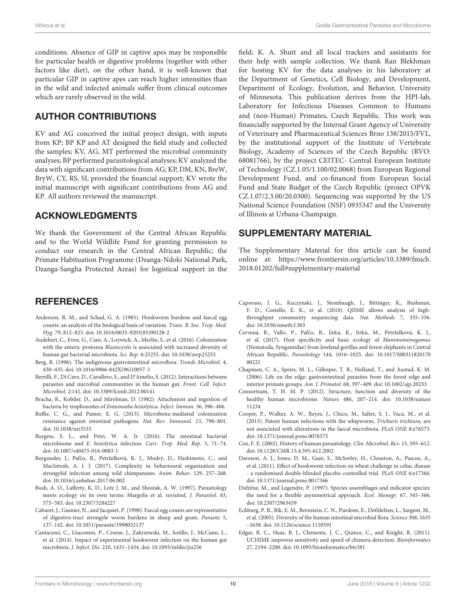conditions. Absence of GIP in captive apes may be responsible for particular health or digestive problems (together with other factors like diet), on the other hand, it is well-known that particular GIP in captive apes can reach higher intensities than in the wild and infected animals suffer from clinical outcomes which are rarely observed in the wild.

### AUTHOR CONTRIBUTIONS

KV and AG conceived the initial project design, with inputs from KP; BP KP and AT designed the field study and collected the samples; KV, AG, MT performed the microbial community analyses; BP performed parasitological analyses; KV analyzed the data with significant contributions from AG; KP, DM, KN, BreW, BryW, CY, RS, SL provided the financial support; KV wrote the initial manuscript with significant contributions from AG and KP. All authors reviewed the manuscript.

### ACKNOWLEDGMENTS

We thank the Government of the Central African Republic and to the World Wildlife Fund for granting permission to conduct our research in the Central African Republic; the Primate Habituation Programme (Dzanga-Ndoki National Park, Dzanga-Sangha Protected Areas) for logistical support in the

### **REFERENCES**

- <span id="page-9-11"></span>Anderson, R. M., and Schad, G. A. (1985). Hookworm burdens and faecal egg counts: an analysis of the biological basis of variation. Trans. R. Soc. Trop. Med. Hyg. 79, 812–825. doi: [10.1016/0035-9203\(85\)90128-2](https://doi.org/10.1016/0035-9203(85)90128-2)
- <span id="page-9-5"></span>Audebert, C., Even, G., Cian, A., Loywick, A., Merlin, S., et al. (2016). Colonization with the enteric protozoa Blastocystis is associated with increased diversity of human gut bacterial microbiota. Sci. Rep. 6:25255. doi: [10.1038/srep25255](https://doi.org/10.1038/srep25255)
- <span id="page-9-0"></span>Berg, R. (1996). The indigenous gastrointestinal microflora. Trends Microbiol. 4, 430–435. doi: [10.1016/0966-842X\(96\)10057-3](https://doi.org/10.1016/0966-842X(96)10057-3)
- <span id="page-9-3"></span>Berrilli, F., Di Cave, D., Cavallero, S., and D'Amelio, S. (2012). Interactions between parasites and microbial communities in the human gut. Front. Cell. Infect. Microbiol. 2:141. doi: [10.3389/fcimb.2012.00141](https://doi.org/10.3389/fcimb.2012.00141)
- <span id="page-9-7"></span>Bracha, R., Kobiler, D., and Mirelman, D. (1982). Attachment and ingestion of bacteria by trophozoites of Entamoeba histolytica. Infect. Immun. 36, 396–406.
- <span id="page-9-18"></span>Buffie, C. G., and Pamer, E. G. (2013). Microbiota-mediated colonization resistance against intestinal pathogens. Nat. Rev. Immunol. 13, 790–801. doi: [10.1038/nri3535](https://doi.org/10.1038/nri3535)
- <span id="page-9-8"></span>Burgess, S. L., and Petri, W. A. Jr. (2016). The intestinal bacterial microbiome and E. histolytica infection. Curr. Trop. Med. Rep. 3, 71–74. doi: [10.1007/s40475-016-0083-1](https://doi.org/10.1007/s40475-016-0083-1)
- <span id="page-9-14"></span>Burgunder, J., Pafčo, B., Petrželková, K. J., Modrý, D., Hashimoto, C., and MacIntosh, A. J. J. (2017). Complexity in behavioural organization and strongylid infection among wild chimpanzees. Anim. Behav. 129, 257–268. doi: [10.1016/j.anbehav.2017.06.002](https://doi.org/10.1016/j.anbehav.2017.06.002)
- <span id="page-9-10"></span>Bush, A. O., Lafferty, K. D., Lotz J. M., and Shostak, A. W. (1997). Parasitology meets ecology on its own terms: Margolis et al. revisited. J. Parasitol. 83, 575–583. doi: [10.2307/3284227](https://doi.org/10.2307/3284227)
- <span id="page-9-12"></span>Cabaret, J., Gasnier, N., and Jacquiet, P. (1998). Faecal egg counts are representative of digestive-tract strongyle worm burdens in sheep and goats. Parasite 5, 137–142. doi: [10.1051/parasite/1998052137](https://doi.org/10.1051/parasite/1998052137)
- <span id="page-9-4"></span>Cantacessi, C., Giacomin, P., Croese, J., Zakrzewski, M., Sotillo, J., McCann, L., et al. (2014). Impact of experimental hookworm infection on the human gut microbiota. J. Infect. Dis. 210, 1431–1434. doi: [10.1093/infdis/jiu256](https://doi.org/10.1093/infdis/jiu256)

field; K. A. Shutt and all local trackers and assistants for their help with sample collection. We thank Ran Blekhman for hosting KV for the data analyses in his laboratory at the Department of Genetics, Cell Biology, and Development, Department of Ecology, Evolution, and Behavior, University of Minnesota. This publication derives from the HPI-lab, Laboratory for Infectious Diseases Common to Humans and (non-Human) Primates, Czech Republic. This work was financially supported by the Internal Grant Agency of University of Veterinary and Pharmaceutical Sciences Brno 138/2015/FVL, by the institutional support of the Institute of Vertebrate Biology, Academy of Sciences of the Czech Republic (RVO: 68081766), by the project CEITEC- Central European Institute of Technology (CZ.1.05/1.100/02.0068) from European Regional Development Fund, and co-financed from European Social Fund and State Budget of the Czech Republic (project OPVK CZ.1.07/2.3.00/20.0300). Sequencing was supported by the US National Science Foundation (NSF) 0935347 and the University of Illinois at Urbana-Champaign.

#### SUPPLEMENTARY MATERIAL

The Supplementary Material for this article can be found [online at: https://www.frontiersin.org/articles/10.3389/fmicb.](https://www.frontiersin.org/articles/10.3389/fmicb.2018.01202/full#supplementary-material) 2018.01202/full#supplementary-material

- <span id="page-9-16"></span>Caporaso, J. G., Kuczynski, J., Stombaugh, J., Bittinger, K., Bushman, F. D., Costello, E. K., et al. (2010). QIIME allows analysis of highthroughput community sequencing data. Nat. Methods 7, 335–336. doi: [10.1038/nmeth.f.303](https://doi.org/10.1038/nmeth.f.303)
- <span id="page-9-9"></span>Červená, B., Vallo, P., Pafčo, B., Jirků, K., Jirků, M., Petrželková, K. J., et al. (2017). Host specificity and basic ecology of Mammomonogamus (Nematoda, Syngamidae) from lowland gorillas and forest elephants in Central African Republic. Parasitology [144, 1016–1025. doi: 10.1017/S00311820170](https://doi.org/10.1017/S0031182017000221) 00221
- <span id="page-9-13"></span>Chapman, C. A., Speirs, M. L., Gillespie, T. R., Holland, T., and Austad, K. M. (2006). Life on the edge: gastrointestinal parasites from the forest edge and interior primate groups. Am. J. Primatol. 68, 397–409. doi: [10.1002/ajp.20233](https://doi.org/10.1002/ajp.20233)
- <span id="page-9-2"></span>Consortium, T. H. M. P. (2012). Structure, function and diversity of the healthy human microbiome. Nature [486, 207–214. doi: 10.1038/nature](https://doi.org/10.1038/nature11234) 11234
- <span id="page-9-19"></span>Cooper, P., Walker, A. W., Reyes, J., Chico, M., Salter, S. J., Vaca, M., et al. (2013). Patent human infections with the whipworm, Trichuris trichiura, are not associated with alterations in the faecal microbiota. PLoS ONE 8:e76573. doi: [10.1371/journal.pone.0076573](https://doi.org/10.1371/journal.pone.0076573)
- <span id="page-9-6"></span>Cox, F. E. (2002). History of human parasitology. Clin. Microbiol. Rev. 15, 595–612. doi: [10.1128/CMR.15.4.595-612.2002](https://doi.org/10.1128/CMR.15.4.595-612.2002)
- <span id="page-9-20"></span>Daveson, A. J., Jones, D. M., Gaze, S., McSorley, H., Clouston, A., Pascoe, A., et al. (2011). Effect of hookworm infection on wheat challenge in celiac disease - a randomised double-blinded placebo controlled trial. PLoS ONE 6:e17366. doi: [10.1371/journal.pone.0017366](https://doi.org/10.1371/journal.pone.0017366)
- <span id="page-9-17"></span>Dufrêne, M., and Legendre, P. (1997). Species assemblages and indicator species: the need for a flexible asymmetrical approach. Ecol. Monogr. 67, 345–366. doi: [10.2307/2963459](https://doi.org/10.2307/2963459)
- <span id="page-9-1"></span>Eckburg, P. B., Bik, E. M., Bernstein, C. N., Purdom, E., Dethlefsen, L., Sargent, M., et al. (2005). Diversity of the human intestinal microbial flora. Science 308, 1635 –1638. doi: [10.1126/science.1110591](https://doi.org/10.1126/science.1110591)
- <span id="page-9-15"></span>Edgar, R. C., Haas, B. J., Clemente, J. C., Quince, C., and Knight, R. (2011). UCHIME improves sensitivity and speed of chimera detection. Bioinformatics 27, 2194–2200. doi: [10.1093/bioinformatics/btr381](https://doi.org/10.1093/bioinformatics/btr381)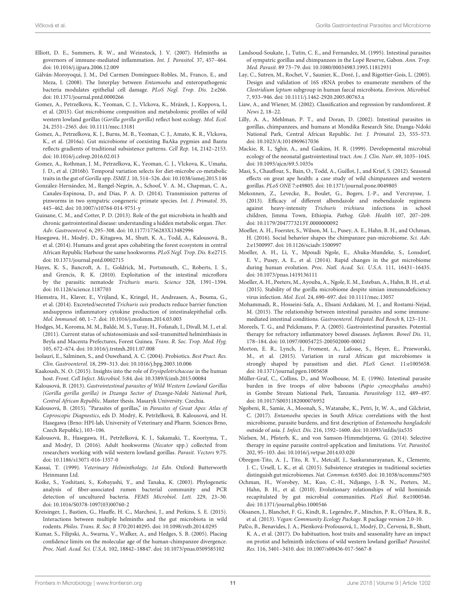- <span id="page-10-19"></span>Elliott, D. E., Summers, R. W., and Weinstock, J. V. (2007). Helminths as governors of immune-mediated inflammation. Int. J. Parasitol. 37, 457–464. doi: [10.1016/j.ijpara.2006.12.009](https://doi.org/10.1016/j.ijpara.2006.12.009)
- <span id="page-10-23"></span>Gálván-Moroyoqui, J. M., Del Carmen Domínguez-Robles, M., Franco, E., and Meza, I. (2008). The Interplay between Entamoeba and enteropathogenic bacteria modulates epithelial cell damage. PLoS Negl. Trop. Dis. 2:e266. doi: [10.1371/journal.pntd.0000266](https://doi.org/10.1371/journal.pntd.0000266)
- <span id="page-10-5"></span>Gomez, A., Petrzelkova, K., Yeoman, C. J., Vlckova, K., Mrázek, J., Koppova, I., et al. (2015). Gut microbiome composition and metabolomic profiles of wild western lowland gorillas (Gorilla gorilla gorilla) reflect host ecology. Mol. Ecol. 24, 2551–2565. doi: [10.1111/mec.13181](https://doi.org/10.1111/mec.13181)
- <span id="page-10-18"></span>Gomez, A., Petrzelkova, K. J., Burns, M. B., Yeoman, C. J., Amato, K. R., Vlckova, K., et al. (2016a). Gut microbiome of coexisting BaAka pygmies and Bantu reflects gradients of traditional subsistence patterns. Cell Rep. 14, 2142–2153. doi: [10.1016/j.celrep.2016.02.013](https://doi.org/10.1016/j.celrep.2016.02.013)
- <span id="page-10-6"></span>Gomez, A., Rothman, J. M., Petrzelkova, K., Yeoman, C. J., Vlckova, K., Umaña, J. D., et al. (2016b). Temporal variation selects for diet-microbe co-metabolic traits in the gut of Gorilla spp. ISME J. 10, 514–526. doi: [10.1038/ismej.2015.146](https://doi.org/10.1038/ismej.2015.146)
- <span id="page-10-32"></span>González-Hernández, M., Rangel-Negrín, A., Schoof, V. A. M., Chapman, C. A., Canales-Espinosa, D., and Dias, P. A. D. (2014). Transmission patterns of pinworms in two sympatric congeneric primate species. Int. J. Primatol. 35, 445–462. doi: [10.1007/s10764-014-9751-y](https://doi.org/10.1007/s10764-014-9751-y)
- <span id="page-10-37"></span>Guinane, C. M., and Cotter, P. D. (2013). Role of the gut microbiota in health and chronic gastrointestinal disease: understanding a hidden metabolic organ. Ther. Adv. Gastroenterol. 6, 295–308. doi: [10.1177/1756283X13482996](https://doi.org/10.1177/1756283X13482996)
- <span id="page-10-14"></span>Hasegawa, H., Modrý, D., Kitagawa, M., Shutt, K. A., Todd, A., Kalousová, B., et al. (2014). Humans and great apes cohabiting the forest ecosystem in central African Republic Harbour the same hookworms. PLoS Negl. Trop. Dis. 8:e2715. doi: [10.1371/journal.pntd.0002715](https://doi.org/10.1371/journal.pntd.0002715)
- <span id="page-10-35"></span>Hayes, K. S., Bancroft, A. J., Goldrick, M., Portsmouth, C., Roberts, I. S., and Grencis, R. K. (2010). Exploitation of the intestinal microflora by the parasitic nematode Trichuris muris. Science 328, 1391–1394. doi: [10.1126/science.1187703](https://doi.org/10.1126/science.1187703)
- <span id="page-10-21"></span>Hiemstra, H., Klaver, E., Vrijland, K., Kringel, H., Andreasen, A., Bouma, G., et al. (2014). Excreted/secreted Trichuris suis products reduce barrier function andsuppress inflammatory cytokine production of intestinalepithelial cells. Mol. Immunol. 60, 1–7. doi: [10.1016/j.molimm.2014.03.003](https://doi.org/10.1016/j.molimm.2014.03.003)
- <span id="page-10-29"></span>Hodges, M., Koroma, M. M., Baldé, M. S., Turay, H., Fofanah, I., Divall, M. J., et al. (2011). Current status of schistosomiasis and soil-transmitted helminthiasis in Beyla and Macenta Prefectures, Forest Guinea. Trans. R. Soc. Trop. Med. Hyg. 105, 672–674. doi: [10.1016/j.trstmh.2011.07.008](https://doi.org/10.1016/j.trstmh.2011.07.008)
- <span id="page-10-0"></span>Isolauri, E., Salminen, S., and Ouwehand, A. C. (2004). Probiotics. Best Pract. Res. Clin. Gastroenterol. 18, 299–313. doi: [10.1016/j.bpg.2003.10.006](https://doi.org/10.1016/j.bpg.2003.10.006)
- <span id="page-10-39"></span>Kaakoush, N. O. (2015). Insights into the role of Erysipelotrichaceae in the human host. Front. Cell Infect. Microbiol. 5:84. doi: [10.3389/fcimb.2015.00084](https://doi.org/10.3389/fcimb.2015.00084)
- <span id="page-10-25"></span>Kalousová, B. (2013). Gastrointestinal parasites of Wild Western Lowland Gorillas (Gorilla gorilla gorilla) in Dzanga Sector of Dzanga-Ndoki National Park, Central African Republic. Master thesis. Masaryk University. Czechia.
- <span id="page-10-10"></span>Kalousová, B. (2015). "Parasites of gorillas," in Parasites of Great Apes: Atlas of Coproscopic Diagnostics, eds D. Modrý, K. Petrželková, B. Kalousová, and H. Hasegawa (Brno: HPI-lab, University of Veterinary and Pharm. Sciences Brno, Czech Republic), 103–106.
- <span id="page-10-26"></span>Kalousová, B., Hasegawa, H., Petrželková, K. J., Sakamaki, T., Kooriyma, T., and Modrý, D. (2016). Adult hookworms (Necator spp.) collected from researchers working with wild western lowland gorillas. Parasit. Vectors 9:75. doi: [10.1186/s13071-016-1357-0](https://doi.org/10.1186/s13071-016-1357-0)
- <span id="page-10-27"></span>Kassai, T. (1999). Veterinary Helminthology, 1st Edn. Oxford: Butterworth Heinmann Ltd.
- <span id="page-10-38"></span>Koike, S., Yoshitani, S., Kobayashi, Y., and Tanaka, K. (2003). Phylogenetic analysis of fiber-associated rumen bacterial community and PCR detection of uncultured bacteria. FEMS Microbiol. Lett. 229, 23–30. doi: [10.1016/S0378-1097\(03\)00760-2](https://doi.org/10.1016/S0378-1097(03)00760-2)
- <span id="page-10-2"></span>Kreisinger, J., Bastien, G., Hauffe, H. C., Marchesi, J., and Perkins, S. E. (2015). Interactions between multiple helminths and the gut microbiota in wild rodents. Philos. Trans. R. Soc. B 370:20140295. doi: [10.1098/rstb.2014.0295](https://doi.org/10.1098/rstb.2014.0295)
- <span id="page-10-4"></span>Kumar, S., Filipski, A., Swarna, V., Walker, A., and Hedges, S. B. (2005). Placing confidence limits on the molecular age of the human-chimpanzee divergence. Proc. Natl. Acad. Sci. U.S.A. 102, 18842–18847. doi: [10.1073/pnas.0509585102](https://doi.org/10.1073/pnas.0509585102)
- <span id="page-10-11"></span>Landsoud-Soukate, J., Tutin, C. E., and Fernandez, M. (1995). Intestinal parasites of sympatric gorillas and chimpanzees in the Lopé Reserve, Gabon. Ann. Trop. Med. Parasit. 89 73–79. doi: [10.1080/00034983.1995.11812931](https://doi.org/10.1080/00034983.1995.11812931)
- <span id="page-10-36"></span>Lay, C., Sutren, M., Rochet, V., Saunier, K., Doré, J., and Rigottier-Gois, L. (2005). Design and validation of 16S rRNA probes to enumerate members of the Clostridium leptum subgroup in human faecal microbiota. Environ. Microbiol. 7, 933–946. doi: [10.1111/j.1462-2920.2005.00763.x](https://doi.org/10.1111/j.1462-2920.2005.00763.x)
- <span id="page-10-34"></span>Liaw, A., and Wiener, M. (2002). Classification and regression by randomforest. R News 2, 18–22.
- <span id="page-10-12"></span>Lilly, A. A., Mehlman, P. T., and Doran, D. (2002). Intestinal parasites in gorillas, chimpanzees, and humans at Mondika Research Site, Dzanga-Ndoki National Park, Central African Republic. Int. J. Primatol. 23, 555–573. doi: [10.1023/A:1014969617036](https://doi.org/10.1023/A:1014969617036)
- <span id="page-10-1"></span>Mackie, R. I., Sghir, A., and Gaskins, H. R. (1999). Developmental microbial ecology of the neonatal gastrointestinal tract. Am. J. Clin. Nutr. 69, 1035-1045. doi: [10.1093/ajcn/69.5.1035s](https://doi.org/10.1093/ajcn/69.5.1035s)
- <span id="page-10-13"></span>Masi, S., Chauffour, S., Bain, O., Todd, A., Guillot, J., and Krief, S. (2012). Seasonal effects on great ape health: a case study of wild chimpanzees and western gorillas. PLoS ONE 7:e49805. doi: [10.1371/journal.pone.0049805](https://doi.org/10.1371/journal.pone.0049805)
- <span id="page-10-30"></span>Mekonnen, Z., Levecke, B., Boulet, G., Bogers, J.-P., and Vercruysse, J. (2013). Efficacy of different albendazole and mebendazole regimens against heavy-intensity Trichuris trichiura infections in school children, Jimma Town, Ethiopia. Pathog. Glob. Health 107, 207–209. doi: [10.1179/2047773213Y.0000000092](https://doi.org/10.1179/2047773213Y.0000000092)
- <span id="page-10-7"></span>Moeller, A. H., Foerster, S., Wilson, M. L., Pusey, A. E., Hahn, B. H., and Ochman, H. (2016). Social behavior shapes the chimpanzee pan-microbiome. Sci. Adv. 2:e1500997. doi: [10.1126/sciadv.1500997](https://doi.org/10.1126/sciadv.1500997)
- <span id="page-10-16"></span>Moeller, A. H., Li, Y., Mpoudi Ngole, E., Ahuka-Mundeke, S., Lonsdorf, E. V., Pusey, A. E., et al. (2014). Rapid changes in the gut microbiome during human evolution. Proc. Natl. Acad. Sci. U.S.A. 111, 16431–16435. doi: [10.1073/pnas.1419136111](https://doi.org/10.1073/pnas.1419136111)
- <span id="page-10-9"></span>Moeller, A. H., Peeters, M., Ayouba, A., Ngole, E. M., Esteban, A., Hahn, B. H., et al. (2015). Stability of the gorilla microbiome despite simian immunodeficiency virus infection. Mol. Ecol. 24, 690–697. doi: [10.1111/mec.13057](https://doi.org/10.1111/mec.13057)
- <span id="page-10-20"></span>Mohammadi, R., Hosseini-Safa, A., Ehsani Ardakani, M. J., and Rostami-Nejad, M. (2015). The relationship between intestinal parasites and some immunemediated intestinal conditions. Gastroenterol. Hepatol. Bed Bench 8, 123–131.
- <span id="page-10-22"></span>Moreels, T. G., and Pelckmans, P. A. (2005). Gastrointestinal parasites. Potential therapy for refractory inflammatory bowel diseases. Inflamm. Bowel Dis. 11, 178–184. doi: [10.1097/00054725-200502000-00012](https://doi.org/10.1097/00054725-200502000-00012)
- <span id="page-10-3"></span>Morton, E. R., Lynch, J., Froment, A., Lafosse, S., Heyer, E., Przeworski, M., et al. (2015). Variation in rural African gut microbiomes is strongly shaped by parasitism and diet. PLoS Genet. 11:e1005658. doi: [10.1371/journal.pgen.1005658](https://doi.org/10.1371/journal.pgen.1005658)
- <span id="page-10-31"></span>Müller-Graf, C., Collins, D., and Woolhouse, M. E. (1996). Intestinal parasite burden in five troops of olive baboons (Papio cynocephalus anubis) in Gombe Stream National Park, Tanzania. Parasitology 112, 489–497. doi: [10.1017/S0031182000076952](https://doi.org/10.1017/S0031182000076952)
- <span id="page-10-24"></span>Ngobeni, R., Samie, A., Moonah, S., Watanabe, K., Petri, Jr, W. A., and Gilchrist, C. (2017). Entamoeba species in South Africa: correlations with the host microbiome, parasite burdens, and first description of Entamoeba bangladeshi outside of asia. J. Infect. Dis. 216, 1592–1600. doi: [10.1093/infdis/jix535](https://doi.org/10.1093/infdis/jix535)
- <span id="page-10-28"></span>Nielsen, M., Pfisterb, K., and von Samson-Himmelstjerna, G. (2014). Selective therapy in equine parasite control-application and limitations. Vet. Parasitol. 202, 95–103. doi: [10.1016/j.vetpar.2014.03.020](https://doi.org/10.1016/j.vetpar.2014.03.020)
- <span id="page-10-17"></span>Obregon-Tito, A. J., Tito, R. Y., Metcalf, J., Sankaranarayanan, K., Clemente, J. C., Ursell, L. K., et al. (2015). Subsistence strategies in traditional societies distinguish gut microbiomes. Nat. Commun. 6:6505. doi: [10.1038/ncomms7505](https://doi.org/10.1038/ncomms7505)
- <span id="page-10-8"></span>Ochman, H., Worobey, M., Kuo, C.-H., Ndjango, J.-B. N., Peeters, M., Hahn, B. H., et al. (2010). Evolutionary relationships of wild hominids recapitulated by gut microbial communities. PLoS Biol. 8:e1000546. doi: [10.1371/journal.pbio.1000546](https://doi.org/10.1371/journal.pbio.1000546)
- <span id="page-10-33"></span>Oksanen, J., Blanchet, F. G., Kindt, R., Legendre, P., Minchin, P. R., O'Hara, R. B., et al. (2013). Vegan: Community Ecology Package. R package version 2.0-10.
- <span id="page-10-15"></span>Pafčo, B., Benavides, J. A., Pšenková-Profousová, I., Modrý, D., Červená, B., Shutt, K. A., et al. (2017). Do habituation, host traits and seasonality have an impact on protist and helminth infections of wild western lowland gorillas? Parasitol. Res. 116, 3401–3410. doi: [10.1007/s00436-017-5667-8](https://doi.org/10.1007/s00436-017-5667-8)